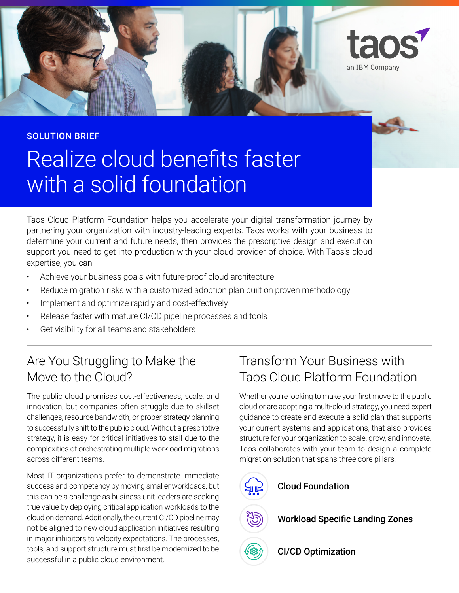

Realize cloud benefits faster with a solid foundation SOLUTION BRIEF

Taos Cloud Platform Foundation helps you accelerate your digital transformation journey by partnering your organization with industry-leading experts. Taos works with your business to determine your current and future needs, then provides the prescriptive design and execution support you need to get into production with your cloud provider of choice. With Taos's cloud expertise, you can:

- Achieve your business goals with future-proof cloud architecture
- Reduce migration risks with a customized adoption plan built on proven methodology
- Implement and optimize rapidly and cost-effectively
- Release faster with mature CI/CD pipeline processes and tools
- Get visibility for all teams and stakeholders

# Are You Struggling to Make the Move to the Cloud?

The public cloud promises cost-effectiveness, scale, and innovation, but companies often struggle due to skillset challenges, resource bandwidth, or proper strategy planning to successfully shift to the public cloud. Without a prescriptive strategy, it is easy for critical initiatives to stall due to the complexities of orchestrating multiple workload migrations across different teams.

Most IT organizations prefer to demonstrate immediate success and competency by moving smaller workloads, but this can be a challenge as business unit leaders are seeking true value by deploying critical application workloads to the cloud on demand. Additionally, the current CI/CD pipeline may not be aligned to new cloud application initiatives resulting in major inhibitors to velocity expectations. The processes, tools, and support structure must frst be modernized to be tools, and support structure must first be modernized to be **CI/CD Optimization**<br>successful in a public cloud environment.

# Transform Your Business with Taos Cloud Platform Foundation

Whether you're looking to make your frst move to the public cloud or are adopting a multi-cloud strategy, you need expert guidance to create and execute a solid plan that supports your current systems and applications, that also provides structure for your organization to scale, grow, and innovate. Taos collaborates with your team to design a complete migration solution that spans three core pillars:



# Cloud Foundation

Workload Specific Landing Zones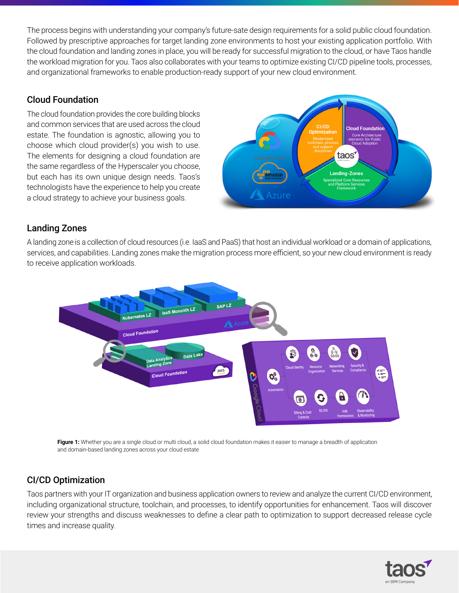The process begins with understanding your company's future-sate design requirements for a solid public cloud foundation. Followed by prescriptive approaches for target landing zone environments to host your existing application portfolio. With the cloud foundation and landing zones in place, you will be ready for successful migration to the cloud, or have Taos handle the workload migration for you. Taos also collaborates with your teams to optimize existing CI/CD pipeline tools, processes, and organizational frameworks to enable production-ready support of your new cloud environment.

### Cloud Foundation

The cloud foundation provides the core building blocks and common services that are used across the cloud estate. The foundation is agnostic, allowing you to choose which cloud provider(s) you wish to use. The elements for designing a cloud foundation are the same regardless of the Hyperscaler you choose, but each has its own unique design needs. Taos's technologists have the experience to help you create a cloud strategy to achieve your business goals.



### Landing Zones

A landing zone is a collection of cloud resources (i.e. IaaS and PaaS) that host an individual workload or a domain of applications, services, and capabilities. Landing zones make the migration process more efficient, so your new cloud environment is ready to receive application workloads.



Figure 1: Whether you are a single cloud or multi cloud, a solid cloud foundation makes it easier to manage a breadth of application and domain-based landing zones across your cloud estate

## CI/CD Optimization

Taos partners with your IT organization and business application owners to review and analyze the current CI/CD environment, including organizational structure, toolchain, and processes, to identify opportunities for enhancement. Taos will discover review your strengths and discuss weaknesses to defne a clear path to optimization to support decreased release cycle times and increase quality.